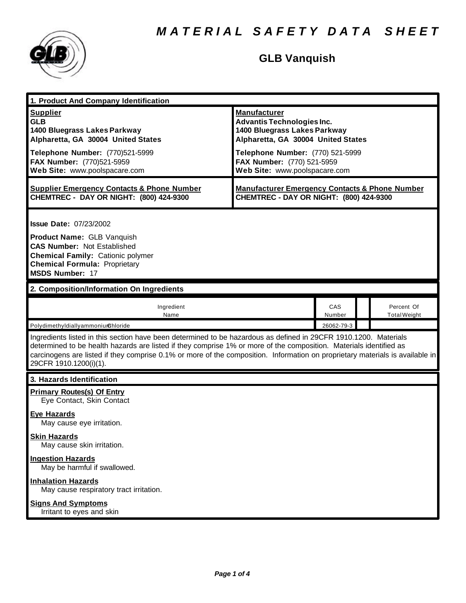

### **GLB Vanquish**

| 1. Product And Company Identification                                                                                                                                                                                                                                                                                                                                                             |                                                                                                                                                                    |               |  |                                   |
|---------------------------------------------------------------------------------------------------------------------------------------------------------------------------------------------------------------------------------------------------------------------------------------------------------------------------------------------------------------------------------------------------|--------------------------------------------------------------------------------------------------------------------------------------------------------------------|---------------|--|-----------------------------------|
| <b>Supplier</b><br><b>GLB</b><br>1400 Bluegrass Lakes Parkway<br>Alpharetta, GA 30004 United States<br>Telephone Number: (770)521-5999                                                                                                                                                                                                                                                            | <b>Manufacturer</b><br><b>Advantis Technologies Inc.</b><br>1400 Bluegrass Lakes Parkway<br>Alpharetta, GA 30004 United States<br>Telephone Number: (770) 521-5999 |               |  |                                   |
| FAX Number: (770)521-5959<br>Web Site: www.poolspacare.com                                                                                                                                                                                                                                                                                                                                        | FAX Number: (770) 521-5959<br>Web Site: www.poolspacare.com                                                                                                        |               |  |                                   |
| <b>Supplier Emergency Contacts &amp; Phone Number</b><br>CHEMTREC - DAY OR NIGHT: (800) 424-9300                                                                                                                                                                                                                                                                                                  | <b>Manufacturer Emergency Contacts &amp; Phone Number</b><br>CHEMTREC - DAY OR NIGHT: (800) 424-9300                                                               |               |  |                                   |
| <b>Issue Date: 07/23/2002</b><br><b>Product Name: GLB Vanquish</b><br><b>CAS Number: Not Established</b><br><b>Chemical Family: Cationic polymer</b><br><b>Chemical Formula: Proprietary</b><br><b>MSDS Number: 17</b>                                                                                                                                                                            |                                                                                                                                                                    |               |  |                                   |
| 2. Composition/Information On Ingredients                                                                                                                                                                                                                                                                                                                                                         |                                                                                                                                                                    |               |  |                                   |
| Ingredient<br>Name                                                                                                                                                                                                                                                                                                                                                                                |                                                                                                                                                                    | CAS<br>Number |  | Percent Of<br><b>Total Weight</b> |
| PolydimethyldiallyammoniurChloride                                                                                                                                                                                                                                                                                                                                                                |                                                                                                                                                                    | 26062-79-3    |  |                                   |
| Ingredients listed in this section have been determined to be hazardous as defined in 29CFR 1910.1200. Materials<br>determined to be health hazards are listed if they comprise 1% or more of the composition. Materials identified as<br>carcinogens are listed if they comprise 0.1% or more of the composition. Information on proprietary materials is available in<br>29CFR 1910.1200(i)(1). |                                                                                                                                                                    |               |  |                                   |
| 3. Hazards Identification                                                                                                                                                                                                                                                                                                                                                                         |                                                                                                                                                                    |               |  |                                   |
| <b>Primary Routes(s) Of Entry</b><br>Eye Contact, Skin Contact                                                                                                                                                                                                                                                                                                                                    |                                                                                                                                                                    |               |  |                                   |
| <b>Eye Hazards</b><br>May cause eye irritation.                                                                                                                                                                                                                                                                                                                                                   |                                                                                                                                                                    |               |  |                                   |
| <b>Skin Hazards</b><br>May cause skin irritation.                                                                                                                                                                                                                                                                                                                                                 |                                                                                                                                                                    |               |  |                                   |
| <b>Ingestion Hazards</b><br>May be harmful if swallowed.                                                                                                                                                                                                                                                                                                                                          |                                                                                                                                                                    |               |  |                                   |
| <b>Inhalation Hazards</b><br>May cause respiratory tract irritation.                                                                                                                                                                                                                                                                                                                              |                                                                                                                                                                    |               |  |                                   |
| <b>Signs And Symptoms</b><br>Irritant to eyes and skin                                                                                                                                                                                                                                                                                                                                            |                                                                                                                                                                    |               |  |                                   |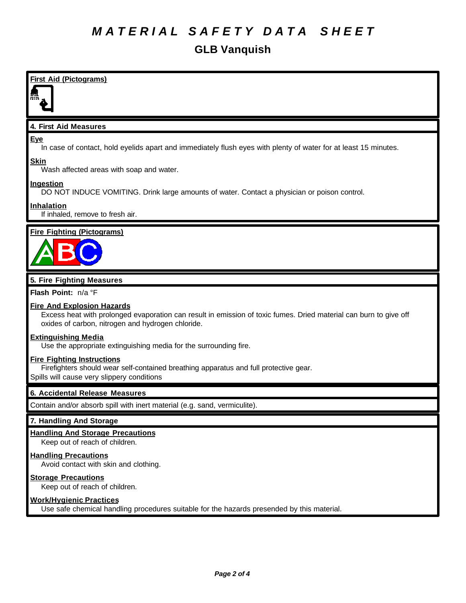### *M A T E R I A L S A F E T Y D A T A S H E E T*

### **GLB Vanquish**

### **First Aid (Pictograms)**

#### **4. First Aid Measures**

#### **Eye**

In case of contact, hold eyelids apart and immediately flush eyes with plenty of water for at least 15 minutes.

#### **Skin**

Wash affected areas with soap and water.

### **Ingestion**

DO NOT INDUCE VOMITING. Drink large amounts of water. Contact a physician or poison control.

### **Inhalation**

If inhaled, remove to fresh air.

#### **Fire Fighting (Pictograms)**



#### **5. Fire Fighting Measures**

**Flash Point:** n/a °F

#### **Fire And Explosion Hazards**

Excess heat with prolonged evaporation can result in emission of toxic fumes. Dried material can burn to give off oxides of carbon, nitrogen and hydrogen chloride.

#### **Extinguishing Media**

Use the appropriate extinguishing media for the surrounding fire.

#### **Fire Fighting Instructions**

Firefighters should wear self-contained breathing apparatus and full protective gear.

Spills will cause very slippery conditions

#### **6. Accidental Release Measures**

Contain and/or absorb spill with inert material (e.g. sand, vermiculite).

#### **7. Handling And Storage**

#### **Handling And Storage Precautions**

Keep out of reach of children.

#### **Handling Precautions**

Avoid contact with skin and clothing.

#### **Storage Precautions**

Keep out of reach of children.

#### **Work/Hygienic Practices**

Use safe chemical handling procedures suitable for the hazards presended by this material.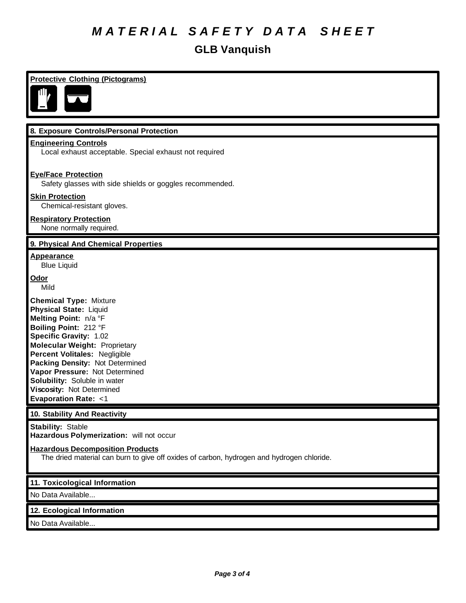## *M A T E R I A L S A F E T Y D A T A S H E E T*

### **GLB Vanquish**

| <b>Protective Clothing (Pictograms)</b><br>乢,                                                                                                                                                                                                                                                                                                                                           |
|-----------------------------------------------------------------------------------------------------------------------------------------------------------------------------------------------------------------------------------------------------------------------------------------------------------------------------------------------------------------------------------------|
| 8. Exposure Controls/Personal Protection                                                                                                                                                                                                                                                                                                                                                |
| <b>Engineering Controls</b><br>Local exhaust acceptable. Special exhaust not required                                                                                                                                                                                                                                                                                                   |
| <b>Eye/Face Protection</b><br>Safety glasses with side shields or goggles recommended.                                                                                                                                                                                                                                                                                                  |
| <b>Skin Protection</b><br>Chemical-resistant gloves.                                                                                                                                                                                                                                                                                                                                    |
| <b>Respiratory Protection</b><br>None normally required.                                                                                                                                                                                                                                                                                                                                |
| 9. Physical And Chemical Properties                                                                                                                                                                                                                                                                                                                                                     |
| <u>Appearance</u><br><b>Blue Liquid</b>                                                                                                                                                                                                                                                                                                                                                 |
| <u>Odor</u><br>Mild                                                                                                                                                                                                                                                                                                                                                                     |
| <b>Chemical Type: Mixture</b><br>Physical State: Liquid<br>Melting Point: n/a °F<br>Boiling Point: 212 °F<br><b>Specific Gravity: 1.02</b><br><b>Molecular Weight: Proprietary</b><br>Percent Volitales: Negligible<br>Packing Density: Not Determined<br>Vapor Pressure: Not Determined<br>Solubility: Soluble in water<br>Viscosity: Not Determined<br><b>Evaporation Rate: &lt;1</b> |
| 10. Stability And Reactivity                                                                                                                                                                                                                                                                                                                                                            |
| <b>Stability: Stable</b><br>Hazardous Polymerization: will not occur                                                                                                                                                                                                                                                                                                                    |
| <b>Hazardous Decomposition Products</b><br>The dried material can burn to give off oxides of carbon, hydrogen and hydrogen chloride.                                                                                                                                                                                                                                                    |
| 11. Toxicological Information                                                                                                                                                                                                                                                                                                                                                           |
| No Data Available                                                                                                                                                                                                                                                                                                                                                                       |
| 12. Ecological Information                                                                                                                                                                                                                                                                                                                                                              |
| No Data Available                                                                                                                                                                                                                                                                                                                                                                       |

No Data Available...